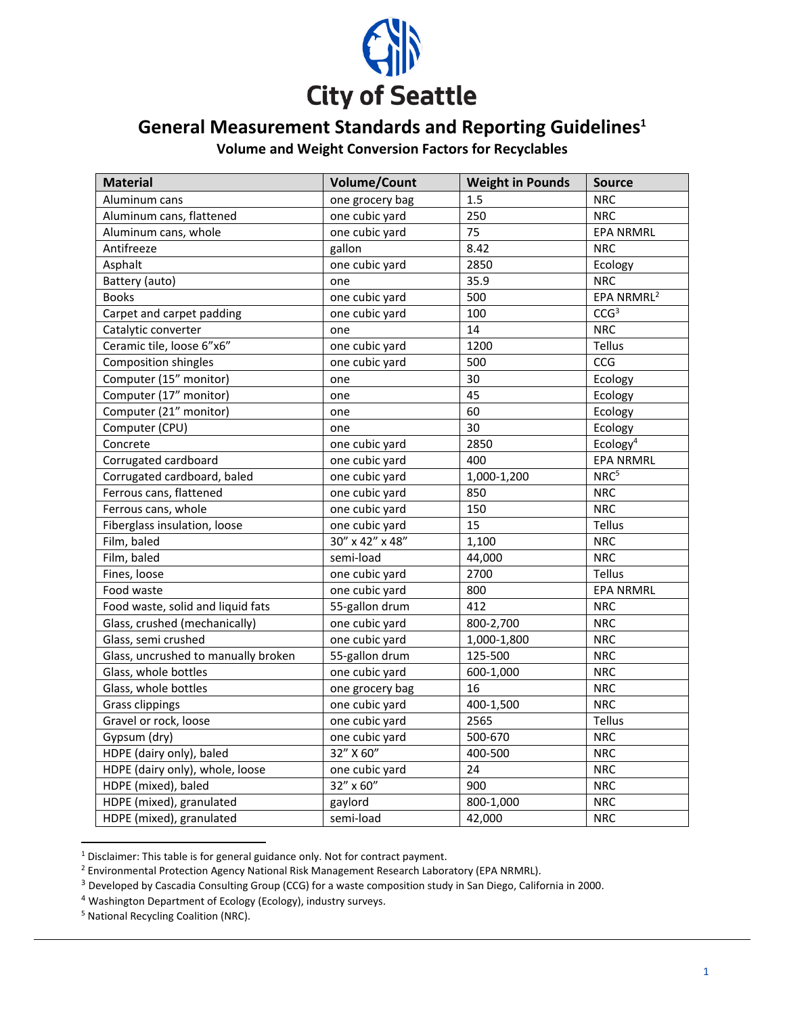

## **General Measurement Standards and Reporting Guidelines<sup>1</sup>**

**Volume and Weight Conversion Factors for Recyclables**

| <b>Material</b>                     | <b>Volume/Count</b> | <b>Weight in Pounds</b> | <b>Source</b>          |
|-------------------------------------|---------------------|-------------------------|------------------------|
| Aluminum cans                       | one grocery bag     | 1.5                     | <b>NRC</b>             |
| Aluminum cans, flattened            | one cubic yard      | 250                     | <b>NRC</b>             |
| Aluminum cans, whole                | one cubic yard      | 75                      | <b>EPA NRMRL</b>       |
| Antifreeze                          | gallon              | 8.42                    | <b>NRC</b>             |
| Asphalt                             | one cubic yard      | 2850                    | Ecology                |
| Battery (auto)                      | one                 | 35.9                    | <b>NRC</b>             |
| <b>Books</b>                        | one cubic yard      | 500                     | EPA NRMRL <sup>2</sup> |
| Carpet and carpet padding           | one cubic yard      | 100                     | CCG <sup>3</sup>       |
| Catalytic converter                 | one                 | 14                      | <b>NRC</b>             |
| Ceramic tile, loose 6"x6"           | one cubic yard      | 1200                    | Tellus                 |
| Composition shingles                | one cubic yard      | 500                     | CCG                    |
| Computer (15" monitor)              | one                 | 30                      | Ecology                |
| Computer (17" monitor)              | one                 | 45                      | Ecology                |
| Computer (21" monitor)              | one                 | 60                      | Ecology                |
| Computer (CPU)                      | one                 | 30                      | Ecology                |
| Concrete                            | one cubic yard      | 2850                    | Ecology <sup>4</sup>   |
| Corrugated cardboard                | one cubic yard      | 400                     | <b>EPA NRMRL</b>       |
| Corrugated cardboard, baled         | one cubic yard      | 1,000-1,200             | NRC <sup>5</sup>       |
| Ferrous cans, flattened             | one cubic yard      | 850                     | <b>NRC</b>             |
| Ferrous cans, whole                 | one cubic yard      | 150                     | <b>NRC</b>             |
| Fiberglass insulation, loose        | one cubic yard      | 15                      | Tellus                 |
| Film, baled                         | 30" x 42" x 48"     | 1,100                   | <b>NRC</b>             |
| Film, baled                         | semi-load           | 44,000                  | <b>NRC</b>             |
| Fines, loose                        | one cubic yard      | 2700                    | Tellus                 |
| Food waste                          | one cubic yard      | 800                     | <b>EPA NRMRL</b>       |
| Food waste, solid and liquid fats   | 55-gallon drum      | 412                     | <b>NRC</b>             |
| Glass, crushed (mechanically)       | one cubic yard      | 800-2,700               | <b>NRC</b>             |
| Glass, semi crushed                 | one cubic yard      | 1,000-1,800             | <b>NRC</b>             |
| Glass, uncrushed to manually broken | 55-gallon drum      | 125-500                 | <b>NRC</b>             |
| Glass, whole bottles                | one cubic yard      | 600-1,000               | <b>NRC</b>             |
| Glass, whole bottles                | one grocery bag     | 16                      | <b>NRC</b>             |
| Grass clippings                     | one cubic yard      | 400-1,500               | <b>NRC</b>             |
| Gravel or rock, loose               | one cubic yard      | 2565                    | Tellus                 |
| Gypsum (dry)                        | one cubic yard      | 500-670                 | <b>NRC</b>             |
| HDPE (dairy only), baled            | 32" X 60"           | 400-500                 | <b>NRC</b>             |
| HDPE (dairy only), whole, loose     | one cubic yard      | 24                      | <b>NRC</b>             |
| HDPE (mixed), baled                 | 32" x 60"           | 900                     | <b>NRC</b>             |
| HDPE (mixed), granulated            | gaylord             | 800-1,000               | <b>NRC</b>             |
| HDPE (mixed), granulated            | semi-load           | 42,000                  | <b>NRC</b>             |

<sup>1</sup> Disclaimer: This table is for general guidance only. Not for contract payment.

<sup>2</sup> Environmental Protection Agency National Risk Management Research Laboratory (EPA NRMRL).

<sup>&</sup>lt;sup>3</sup> Developed by Cascadia Consulting Group (CCG) for a waste composition study in San Diego, California in 2000.

<sup>4</sup> Washington Department of Ecology (Ecology), industry surveys.

<sup>5</sup> National Recycling Coalition (NRC).